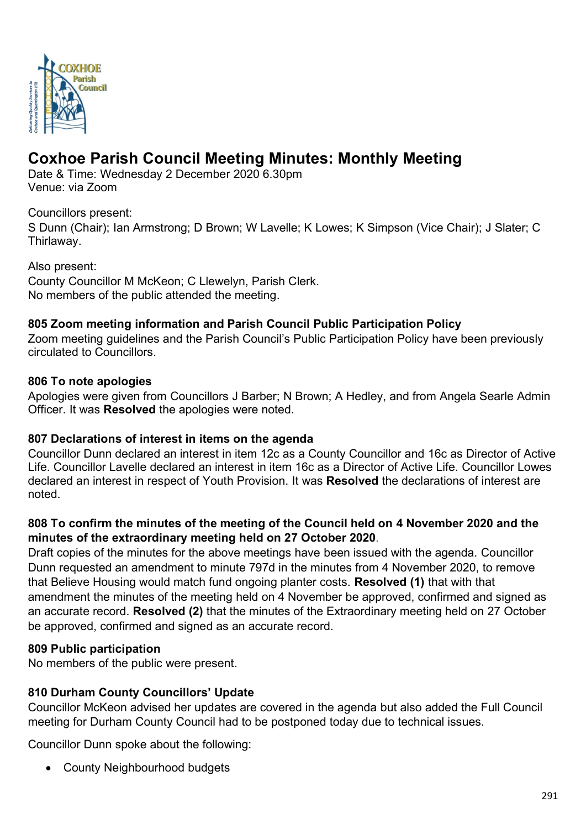

# **Coxhoe Parish Council Meeting Minutes: Monthly Meeting**

Date & Time: Wednesday 2 December 2020 6.30pm Venue: via Zoom

Councillors present:

S Dunn (Chair); Ian Armstrong; D Brown; W Lavelle; K Lowes; K Simpson (Vice Chair); J Slater; C Thirlaway.

Also present: County Councillor M McKeon; C Llewelyn, Parish Clerk. No members of the public attended the meeting.

## **805 Zoom meeting information and Parish Council Public Participation Policy**

Zoom meeting guidelines and the Parish Council's Public Participation Policy have been previously circulated to Councillors.

## **806 To note apologies**

Apologies were given from Councillors J Barber; N Brown; A Hedley, and from Angela Searle Admin Officer. It was **Resolved** the apologies were noted.

## **807 Declarations of interest in items on the agenda**

Councillor Dunn declared an interest in item 12c as a County Councillor and 16c as Director of Active Life. Councillor Lavelle declared an interest in item 16c as a Director of Active Life. Councillor Lowes declared an interest in respect of Youth Provision. It was **Resolved** the declarations of interest are noted.

## **808 To confirm the minutes of the meeting of the Council held on 4 November 2020 and the minutes of the extraordinary meeting held on 27 October 2020**.

Draft copies of the minutes for the above meetings have been issued with the agenda. Councillor Dunn requested an amendment to minute 797d in the minutes from 4 November 2020, to remove that Believe Housing would match fund ongoing planter costs. **Resolved (1)** that with that amendment the minutes of the meeting held on 4 November be approved, confirmed and signed as an accurate record. **Resolved (2)** that the minutes of the Extraordinary meeting held on 27 October be approved, confirmed and signed as an accurate record.

## **809 Public participation**

No members of the public were present.

## **810 Durham County Councillors' Update**

Councillor McKeon advised her updates are covered in the agenda but also added the Full Council meeting for Durham County Council had to be postponed today due to technical issues.

Councillor Dunn spoke about the following:

• County Neighbourhood budgets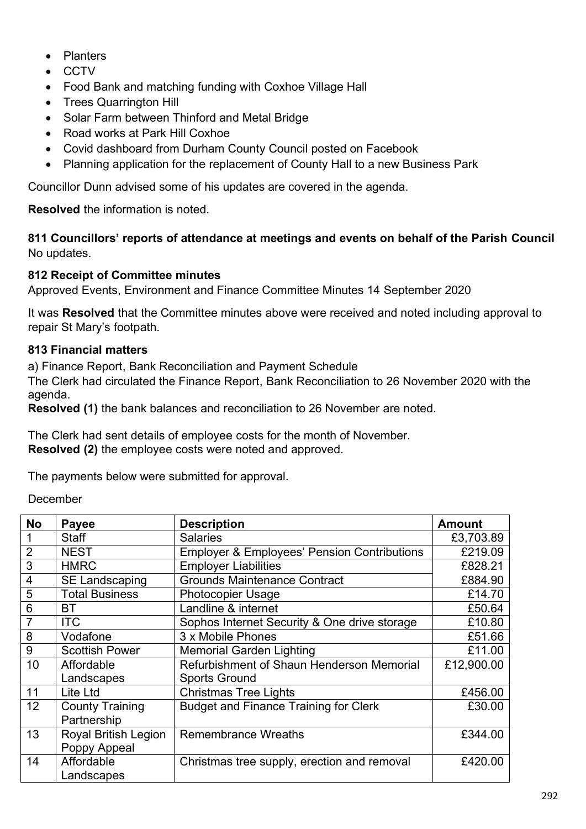- Planters
- CCTV
- Food Bank and matching funding with Coxhoe Village Hall
- **Trees Quarrington Hill**
- Solar Farm between Thinford and Metal Bridge
- Road works at Park Hill Coxhoe
- Covid dashboard from Durham County Council posted on Facebook
- Planning application for the replacement of County Hall to a new Business Park

Councillor Dunn advised some of his updates are covered in the agenda.

**Resolved** the information is noted.

**811 Councillors' reports of attendance at meetings and events on behalf of the Parish Council** No updates.

## **812 Receipt of Committee minutes**

Approved Events, Environment and Finance Committee Minutes 14 September 2020

It was **Resolved** that the Committee minutes above were received and noted including approval to repair St Mary's footpath.

#### **813 Financial matters**

a) Finance Report, Bank Reconciliation and Payment Schedule

The Clerk had circulated the Finance Report, Bank Reconciliation to 26 November 2020 with the agenda.

**Resolved (1)** the bank balances and reconciliation to 26 November are noted.

The Clerk had sent details of employee costs for the month of November. **Resolved (2)** the employee costs were noted and approved.

The payments below were submitted for approval.

December

| <b>No</b>      | <b>Payee</b>                | <b>Description</b>                                     | <b>Amount</b> |
|----------------|-----------------------------|--------------------------------------------------------|---------------|
|                | <b>Staff</b>                | <b>Salaries</b>                                        | £3,703.89     |
| $\overline{2}$ | <b>NEST</b>                 | <b>Employer &amp; Employees' Pension Contributions</b> | £219.09       |
| 3              | <b>HMRC</b>                 | <b>Employer Liabilities</b>                            | £828.21       |
| $\overline{4}$ | <b>SE Landscaping</b>       | <b>Grounds Maintenance Contract</b>                    | £884.90       |
| 5              | <b>Total Business</b>       | <b>Photocopier Usage</b>                               | £14.70        |
| 6              | <b>BT</b>                   | Landline & internet                                    | £50.64        |
| $\overline{7}$ | <b>ITC</b>                  | Sophos Internet Security & One drive storage           | £10.80        |
| 8              | Vodafone                    | 3 x Mobile Phones                                      | £51.66        |
| 9              | <b>Scottish Power</b>       | <b>Memorial Garden Lighting</b>                        | £11.00        |
| 10             | Affordable                  | Refurbishment of Shaun Henderson Memorial              | £12,900.00    |
|                | Landscapes                  | <b>Sports Ground</b>                                   |               |
| 11             | Lite Ltd                    | <b>Christmas Tree Lights</b>                           | £456.00       |
| 12             | <b>County Training</b>      | <b>Budget and Finance Training for Clerk</b>           | £30.00        |
|                | Partnership                 |                                                        |               |
| 13             | <b>Royal British Legion</b> | <b>Remembrance Wreaths</b>                             | £344.00       |
|                | Poppy Appeal                |                                                        |               |
| 14             | Affordable                  | Christmas tree supply, erection and removal            | £420.00       |
|                | Landscapes                  |                                                        |               |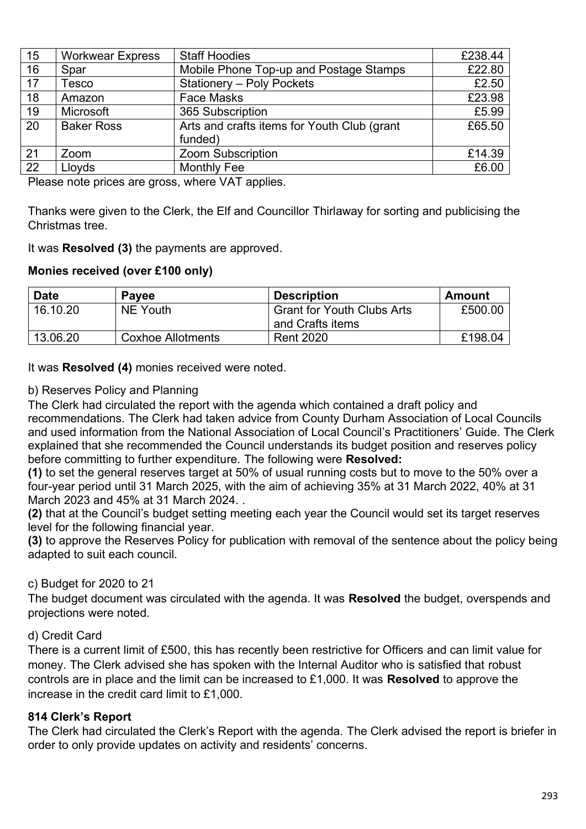| 15 | <b>Workwear Express</b> | <b>Staff Hoodies</b>                                   | £238.44 |
|----|-------------------------|--------------------------------------------------------|---------|
| 16 | Spar                    | Mobile Phone Top-up and Postage Stamps                 | £22.80  |
| 17 | Tesco                   | <b>Stationery - Poly Pockets</b>                       | £2.50   |
| 18 | Amazon                  | <b>Face Masks</b>                                      |         |
| 19 | Microsoft               | 365 Subscription                                       | £5.99   |
| 20 | <b>Baker Ross</b>       | Arts and crafts items for Youth Club (grant<br>funded) | £65.50  |
| 21 | Zoom                    | <b>Zoom Subscription</b>                               | £14.39  |
| 22 | Lloyds                  | <b>Monthly Fee</b>                                     | £6.00   |

Please note prices are gross, where VAT applies.

Thanks were given to the Clerk, the Elf and Councillor Thirlaway for sorting and publicising the Christmas tree.

It was **Resolved (3)** the payments are approved.

#### **Monies received (over £100 only)**

| <b>Date</b> | <b>Payee</b>             | <b>Description</b>                                    | Amount  |
|-------------|--------------------------|-------------------------------------------------------|---------|
| 16.10.20    | <b>NE Youth</b>          | <b>Grant for Youth Clubs Arts</b><br>and Crafts items | £500.00 |
| 13.06.20    | <b>Coxhoe Allotments</b> | <b>Rent 2020</b>                                      | £198.04 |

It was **Resolved (4)** monies received were noted.

#### b) Reserves Policy and Planning

The Clerk had circulated the report with the agenda which contained a draft policy and recommendations. The Clerk had taken advice from County Durham Association of Local Councils and used information from the National Association of Local Council's Practitioners' Guide. The Clerk explained that she recommended the Council understands its budget position and reserves policy before committing to further expenditure. The following were **Resolved:**

**(1)** to set the general reserves target at 50% of usual running costs but to move to the 50% over a four-year period until 31 March 2025, with the aim of achieving 35% at 31 March 2022, 40% at 31 March 2023 and 45% at 31 March 2024. .

**(2)** that at the Council's budget setting meeting each year the Council would set its target reserves level for the following financial year.

**(3)** to approve the Reserves Policy for publication with removal of the sentence about the policy being adapted to suit each council.

## c) Budget for 2020 to 21

The budget document was circulated with the agenda. It was **Resolved** the budget, overspends and projections were noted.

#### d) Credit Card

There is a current limit of £500, this has recently been restrictive for Officers and can limit value for money. The Clerk advised she has spoken with the Internal Auditor who is satisfied that robust controls are in place and the limit can be increased to £1,000. It was **Resolved** to approve the increase in the credit card limit to £1,000.

## **814 Clerk's Report**

The Clerk had circulated the Clerk's Report with the agenda. The Clerk advised the report is briefer in order to only provide updates on activity and residents' concerns.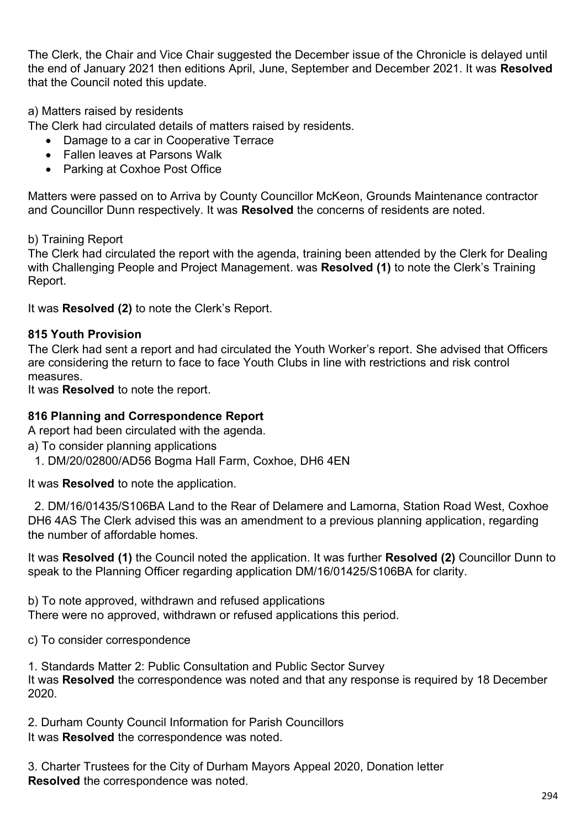The Clerk, the Chair and Vice Chair suggested the December issue of the Chronicle is delayed until the end of January 2021 then editions April, June, September and December 2021. It was **Resolved**  that the Council noted this update.

## a) Matters raised by residents

The Clerk had circulated details of matters raised by residents.

- Damage to a car in Cooperative Terrace
- Fallen leaves at Parsons Walk
- Parking at Coxhoe Post Office

Matters were passed on to Arriva by County Councillor McKeon, Grounds Maintenance contractor and Councillor Dunn respectively. It was **Resolved** the concerns of residents are noted.

b) Training Report

The Clerk had circulated the report with the agenda, training been attended by the Clerk for Dealing with Challenging People and Project Management. was **Resolved (1)** to note the Clerk's Training Report.

It was **Resolved (2)** to note the Clerk's Report.

## **815 Youth Provision**

The Clerk had sent a report and had circulated the Youth Worker's report. She advised that Officers are considering the return to face to face Youth Clubs in line with restrictions and risk control measures.

It was **Resolved** to note the report.

#### **816 Planning and Correspondence Report**

A report had been circulated with the agenda.

- a) To consider planning applications
- 1. DM/20/02800/AD56 Bogma Hall Farm, Coxhoe, DH6 4EN

It was **Resolved** to note the application.

 2. DM/16/01435/S106BA Land to the Rear of Delamere and Lamorna, Station Road West, Coxhoe DH6 4AS The Clerk advised this was an amendment to a previous planning application, regarding the number of affordable homes.

It was **Resolved (1)** the Council noted the application. It was further **Resolved (2)** Councillor Dunn to speak to the Planning Officer regarding application DM/16/01425/S106BA for clarity.

b) To note approved, withdrawn and refused applications There were no approved, withdrawn or refused applications this period.

c) To consider correspondence

1. Standards Matter 2: Public Consultation and Public Sector Survey It was **Resolved** the correspondence was noted and that any response is required by 18 December 2020.

2. Durham County Council Information for Parish Councillors It was **Resolved** the correspondence was noted.

3. Charter Trustees for the City of Durham Mayors Appeal 2020, Donation letter **Resolved** the correspondence was noted.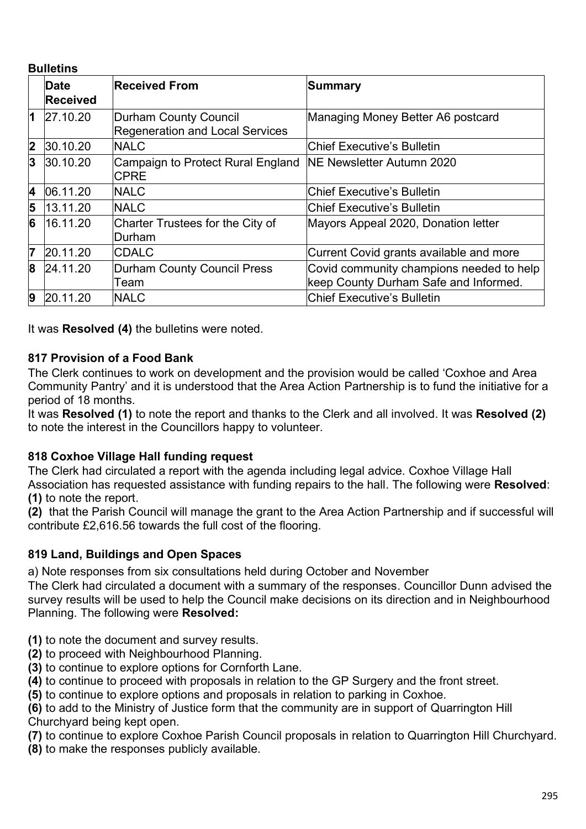#### **Bulletins**

|                         | Date            | <b>Received From</b>                                            | Summary                                  |
|-------------------------|-----------------|-----------------------------------------------------------------|------------------------------------------|
|                         | <b>Received</b> |                                                                 |                                          |
| $\overline{1}$          | 27.10.20        | Durham County Council<br><b>Regeneration and Local Services</b> | Managing Money Better A6 postcard        |
| $\overline{\mathbf{2}}$ | 30.10.20        | <b>NALC</b>                                                     | Chief Executive's Bulletin               |
| 3                       | 30.10.20        | Campaign to Protect Rural England<br><b>CPRE</b>                | <b>NE Newsletter Autumn 2020</b>         |
| $\overline{\mathbf{4}}$ | 06.11.20        | <b>NALC</b>                                                     | Chief Executive's Bulletin               |
| 5                       | 13.11.20        | <b>NALC</b>                                                     | Chief Executive's Bulletin               |
| 6                       | 16.11.20        | Charter Trustees for the City of<br>Durham                      | Mayors Appeal 2020, Donation letter      |
| 7                       | 20.11.20        | <b>CDALC</b>                                                    | Current Covid grants available and more  |
| 8                       | 24.11.20        | <b>Durham County Council Press</b>                              | Covid community champions needed to help |
|                         |                 | Team                                                            | keep County Durham Safe and Informed.    |
| 9                       | 20.11.20        | <b>NALC</b>                                                     | <b>Chief Executive's Bulletin</b>        |

It was **Resolved (4)** the bulletins were noted.

## **817 Provision of a Food Bank**

The Clerk continues to work on development and the provision would be called 'Coxhoe and Area Community Pantry' and it is understood that the Area Action Partnership is to fund the initiative for a period of 18 months.

It was **Resolved (1)** to note the report and thanks to the Clerk and all involved. It was **Resolved (2)** to note the interest in the Councillors happy to volunteer.

## **818 Coxhoe Village Hall funding request**

The Clerk had circulated a report with the agenda including legal advice. Coxhoe Village Hall Association has requested assistance with funding repairs to the hall. The following were **Resolved**: **(1)** to note the report.

**(2)** that the Parish Council will manage the grant to the Area Action Partnership and if successful will contribute £2,616.56 towards the full cost of the flooring.

## **819 Land, Buildings and Open Spaces**

a) Note responses from six consultations held during October and November

The Clerk had circulated a document with a summary of the responses. Councillor Dunn advised the survey results will be used to help the Council make decisions on its direction and in Neighbourhood Planning. The following were **Resolved:**

- **(1)** to note the document and survey results.
- **(2)** to proceed with Neighbourhood Planning.
- **(3)** to continue to explore options for Cornforth Lane.
- **(4)** to continue to proceed with proposals in relation to the GP Surgery and the front street.

**(5)** to continue to explore options and proposals in relation to parking in Coxhoe.

**(6)** to add to the Ministry of Justice form that the community are in support of Quarrington Hill Churchyard being kept open.

**(7)** to continue to explore Coxhoe Parish Council proposals in relation to Quarrington Hill Churchyard.

**(8)** to make the responses publicly available.